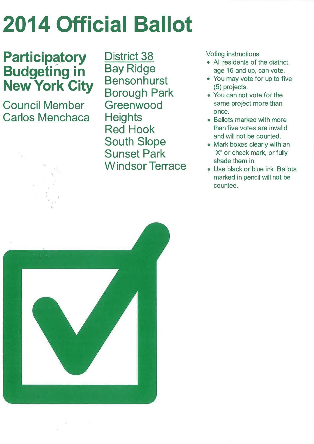# 2014 Official Ballot

**Participatory** District 38<br>**Budgeting in** Bay Ridge **Budgeting in Bay Ridge New York City** 

**Council Member** Carlos Menchaca

**Bensonhurst** Borough Park **Greenwood Heights** Red Hook South Slope Sunset Park Windsor Terrace Voting instructions

- All residents of the district, age 16 and up, can vote.
- . You may vote for up to five (5) projects.
- You can not vote for the same project more than once.
- Ballots marked with more than five votes are invalid and will not be counted.
- Mark boxes clearly with an "X" or check mark, or fully shade them in.
- Use black or blue ink. Ballots marked in pencil will not be counted.

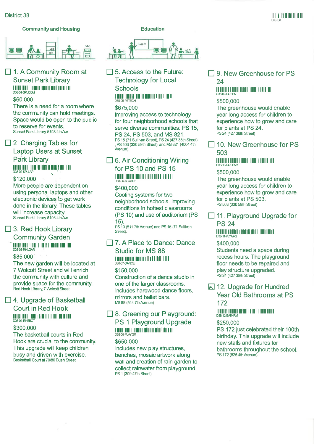#### **Community and Housing**



#### $\Box$  1. A Community Room at **Sunset Park Library** D38-01-SPLCOM

#### \$60,000

There is a need for a room where the community can hold meetings. Space would be open to the public to reserve for events. Sunset Park Library, 5108 4th Ave

#### $\Box$  2. Charging Tables for **Laptop Users at Sunset Park Library** <u> HETHER I NIJERI (HETHER I BINIT (HETHER I BINIT I BINIT I BIN</u>

#### \$120,000

More people are dependent on using personal laptops and other electronic devices to get work done in the library. These tables will increase capacity. Sunset Park Library, 5108 4th Ave

#### $\Box$  3. Red Hook Library **Community Garden** <u> 11 AN AN D'AON AN D'AON AN D'AON AN D'AON AN D'AON AN D'AON AN D'AON AN D'AON AN D'AON AN D'AON AN D'AON AM AN </u> D38-03-RHI GAR

#### \$85,000

The new garden will be located at 7 Wolcott Street and will enrich the community with culture and provide space for the community. Red Hook Library, 7 Wolcott Street

#### $\Box$  4. Upgrade of Basketball **Court in Red Hook** <u>O BODI I I II DI DA BATAN DA BATAN DI BATAN I DI BAB</u> D38-04-RHBBCT

#### \$300,000

The basketball courts in Red Hook are crucial to the community. This upgrade will keep children busy and driven with exercise. Basketball Court at 70/80 Bush Street



 $\Box$  5. Access to the Future: **Technology for Local Schools** <u> A BELIEV LA BILITARE DE LA LIBERATURE DE LA LIBERATURE DE L</u>

#### \$675.000

Improving access to technology for four neighborhood schools that serve diverse communities: PS 15, PS 24, PS 503, and MS 821. PS 15 (71 Sullivan Street), PS 24 (427 38th Street)<br>PS 15 (71 Sullivan Street), PS 24 (427 38th Street)<br>PS 503 (330 59th Street), and MS 821 (4004 4th Avenue)

### $\Box$  6. Air Conditioning Wiring for PS 10 and PS 15

#### \$400.000

Cooling systems for two neighborhood schools. Improving conditions in hottest classrooms (PS 10) and use of auditorium (PS  $15$ ).

PS 10 (511 7th Avenue) and PS 15 (71 Sullivan Street)

#### 7. A Place to Dance: Dance **Studio for MS 88** <u> 11 MARTIN 11 MARTIN 11 MARTIN 11 MARTIN 11 MARTIN 11 MARTIN 11 MARTIN 11 MARTIN 11 MARTIN 11 MARTIN 11 MARTIN</u>

#### \$150,000

Construction of a dance studio in one of the larger classrooms. Includes hardwood dance floors. mirrors and ballet bars. MS 88 (544 7th Avenue)

#### $\Box$  8. Greening our Playground: **PS 1 Playground Upgrade** <u> 11 AN 11 AN 11 AN 11 AN 11 AN 11 AN 11 AN 11 AN 11 AN 11 AN 11 AN 11 AN 11 AN 11 AN 11 AN 11 AN 11 AN 11 AN 11 AN 11 AN 11 AN 11 AN 11 AN 11 AN 11 AN 11 AN 11 AN 11 AN 11 AN 11 AN 11 AN 11 AN 11 AN 11 AN 11 AN 11 AN 11 A</u>

#### \$650,000

Includes new play structures, benches, mosaic artwork along wall and creation of rain garden to collect rainwater from playground. PS 1 (309 47th Street)

#### $\Box$  9. New Greenhouse for PS  $24$

### 

#### \$500,000

The greenhouse would enable year long access for children to experience how to grow and care for plants at PS 24. PS 24 (427 38th Street)

 $\Box$  10. New Greenhouse for PS 503

# 

#### \$500,000

The greenhouse would enable year long access for children to experience how to grow and care for plants at PS 503. PS 503 (330 59th Street)

 $\Box$  11. Playground Upgrade for **PS 24** 

# 

#### \$400,000

Students need a space during recess hours. The playground floor needs to be repaired and play structure upgraded. PS 24 (427 38th Street)

4 12. Upgrade for Hundred **Year Old Bathrooms at PS** 172

#### <u> 11 Anii 11 Anii 11 Anii 12 Anii 13 Anii 14 Anii 15 Anii 16 Anii 17 Anii 1</u> D38-12-BATHRM

\$250.000

PS 172 just celebrated their 100th birthday. This upgrade will include new stalls and fixtures for bathrooms throughout the school. PS 172 (825 4th Avenue)



#### **Education**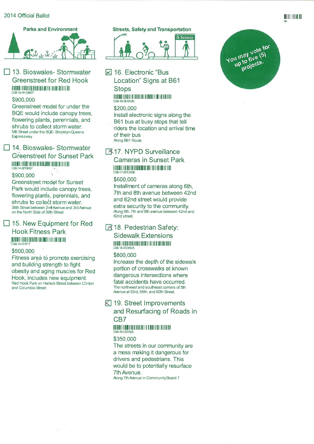#### 2014 Official Ballot



#### □ 13. Bioswales- Stormwater **Greenstreet for Red Hook WE ARRIVE FOR A FINDING OF A CONTRACT OF A REPORT OF A REPORT OF A REPORT OF A REPORT OF A REPORT OF A REPORT OF A REPORT OF A REPORT OF A REPORT OF A REPORT OF A REPORT OF A REPORT OF A REPORT OF A REPORT OF A REPORT OF** D38-13-RHGNST

#### \$900,000

Greenstreet model for under the BQE would include canopy trees, flowering plants, perennials, and shrubs to collect storm water. Mill Street under the BQE- Brooklyn-Queens Expressway

#### $\Box$  14. Bioswales-Stormwater **Greenstreet for Sunset Park**

#### \$900,000

**Greenstreet model for Sunset** Park would include canopy trees, flowering plants, perennials, and shrubs to collect storm water. 39th Street between 2nd Avenue and 3rd Avenue on the North Side of 39th Street

#### $\Box$  15. New Equipment for Red **Hook Fitness Park** <u> A distritoria dell'Internazione della contra dell'Internazione dell'Internazionale dell'Internazionale dell'I</u>

#### \$500,000

Fitness area to promote exercising and building strength to fight obesity and aging muscles for Red Hook, includes new equipment. Red Hook Park on Halleck Street between Clinton and Columbia Street.



**⊠** 16. Electronic "Bus Location" Signs at B61 **Stops** 

#### D38-16-BUSIGN

#### \$200.000

Install electronic signs along the B61 bus at busy stops that tell riders the location and arrival time of their bus Along B61 Route

#### 区 17. NYPD Surveillance **Cameras in Sunset Park** THE TITLE EXPLOSION IN THE UNITED STATES OF A REAL PROPERTY OF A REAL D3R-17-SPCAMS

#### \$600,000

Installment of cameras along 6th, 7th and 8th avenue between 42nd and 62nd street would provide extra security to the community. Along 6th, 7th and 8th avenue between 42nd and 62nd street.

#### 区 18. Pedestrian Safety: **Sidewalk Extensions**

#### \$800,000

Increase the depth of the sidewalk portion of crosswalks at known dangerous intersections where fatal accidents have occurred. The northwest and southeast comers of 5th Avenue at 53rd, 55th, and 60th Street.

#### K 19. Street Improvements

and Resurfacing of Roads in CB7

#### <u> 11 Anii 11 Anii 11 Anii 11 Anii 11 Anii 11 Anii 11 Anii 11 Anii 12 Anii 13 Anii 14 Anii 15 Anii 16 Anii 17 Ani</u> 038-19-CB7AVE

#### \$350,000

The streets in our community are a mess making it dangerous for drivers and pedestrians. This would be to potentially resurface 7th Avenue.



# You may vote for projects.

<u> Ali ili i bolga bil</u>